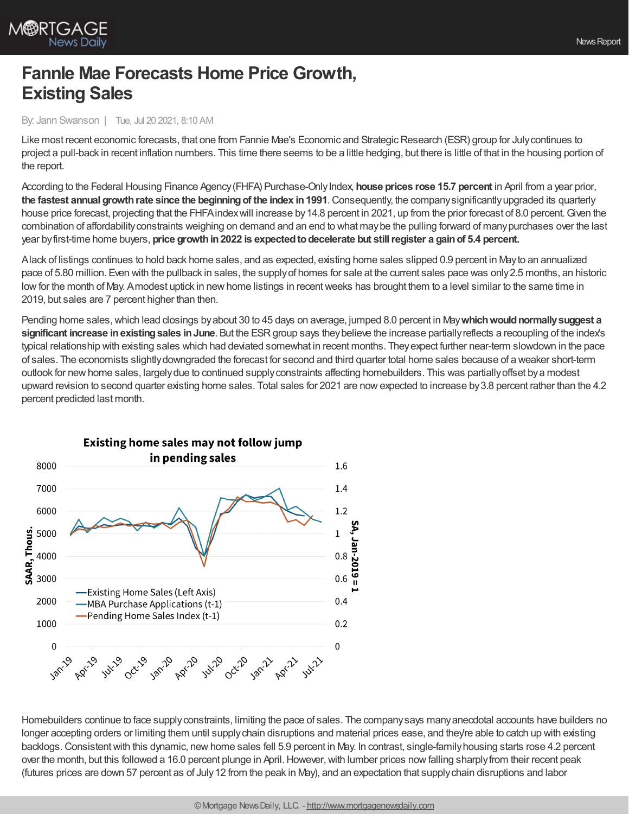

## **FannIe Mae Forecasts Home Price Growth, Existing Sales**

## By: Jann Swanson | Tue, Jul 20 2021, 8:10 AM

Like most recent economic forecasts, that one from Fannie Mae's Economic and Strategic Research (ESR) group for July continues to project a pull-back in recent inflation numbers. This time there seems to be a little hedging, but there is little of that in the housing portion of the report.

According to the Federal Housing Finance Agency(FHFA) Purchase-OnlyIndex, **house prices rose 15.7 percent** in April from a year prior, **the fastest annual growthrate since the beginningof the index in1991**.Consequently, the companysignificantlyupgraded its quarterly house price forecast, projecting that the FHFA index will increase by 14.8 percent in 2021, up from the prior forecast of 8.0 percent. Given the combination of affordabilityconstraints weighing on demand and an end to what maybe the pulling forward of manypurchases over the last year byfirst-time home buyers, **price growthin2022 is expectedtodecelerate but stillregister a gainof 5.4 percent.**

Alack of listings continues to hold back home sales, and as expected, existing home sales slipped 0.9 percent in Mayto an annualized pace of 5.80 million. Even with the pullback in sales, the supplyof homes for sale at the current sales pace was only2.5 months, an historic low for the month of May. Amodest uptick in new home listings in recent weeks has brought them to a level similar to the same time in 2019, but sales are 7 percent higher than then.

Pending home sales, which lead closings by about 30 to 45 days on average, jumped 8.0 percent in May which would normally suggest a **significant increase inexistingsales inJune**. But the ESRgroup says theybelieve the increase partiallyreflects a recoupling of the index's typical relationship with existing sales which had deviated somewhat in recent months. Theyexpect further near-term slowdown in the pace of sales. The economists slightlydowngraded the forecast for second and third quarter total home sales because of a weaker short-term outlook for newhome sales, largelydue to continued supplyconstraints affecting homebuilders. This was partiallyoffset bya modest upward revision to second quarter existing home sales. Total sales for 2021 are nowexpected to increase by3.8 percent rather than the 4.2 percent predicted last month.



Homebuilders continue to face supplyconstraints, limiting the pace of sales. The companysays manyanecdotal accounts have builders no longer accepting orders or limiting them until supply chain disruptions and material prices ease, and they're able to catch up with existing backlogs.Consistentwith this dynamic, newhome sales fell 5.9 percent in May. In contrast, single-familyhousing starts rose 4.2 percent over the month, but this followed a 16.0 percent plunge in April. However, with lumber prices now falling sharply from their recent peak (futures prices are down 57 percent as of July12 from the peak in May), and an expectation that supplychain disruptions and labor